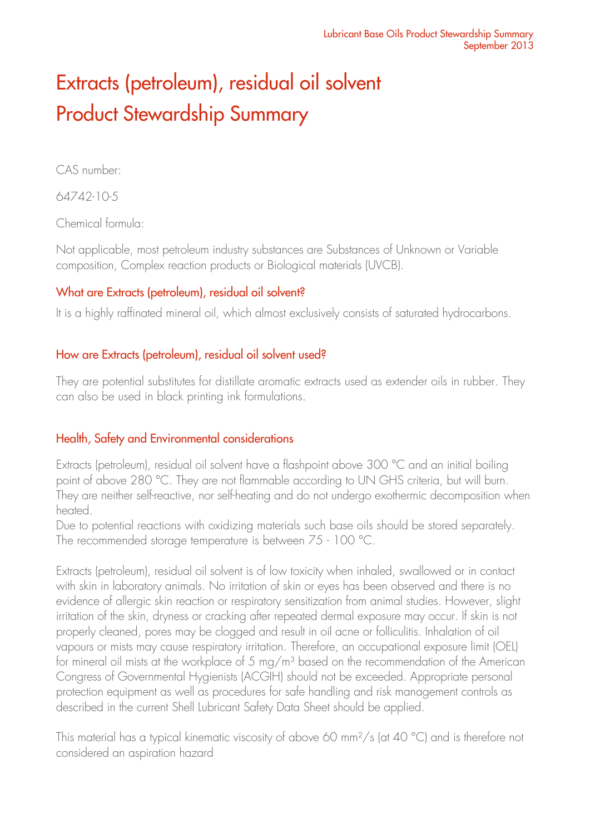# Extracts (petroleum), residual oil solvent Product Stewardship Summary

CAS number:

64742-10-5

Chemical formula:

Not applicable, most petroleum industry substances are Substances of Unknown or Variable composition, Complex reaction products or Biological materials (UVCB).

# What are Extracts (petroleum), residual oil solvent?

It is a highly raffinated mineral oil, which almost exclusively consists of saturated hydrocarbons.

# How are Extracts (petroleum), residual oil solvent used?

They are potential substitutes for distillate aromatic extracts used as extender oils in rubber. They can also be used in black printing ink formulations.

# Health, Safety and Environmental considerations

Extracts (petroleum), residual oil solvent have a flashpoint above 300 °C and an initial boiling point of above 280 °C. They are not flammable according to UN GHS criteria, but will burn. They are neither self-reactive, nor self-heating and do not undergo exothermic decomposition when heated.

Due to potential reactions with oxidizing materials such base oils should be stored separately. The recommended storage temperature is between 75 - 100 °C.

Extracts (petroleum), residual oil solvent is of low toxicity when inhaled, swallowed or in contact with skin in laboratory animals. No irritation of skin or eyes has been observed and there is no evidence of allergic skin reaction or respiratory sensitization from animal studies. However, slight irritation of the skin, dryness or cracking after repeated dermal exposure may occur. If skin is not properly cleaned, pores may be clogged and result in oil acne or folliculitis. Inhalation of oil vapours or mists may cause respiratory irritation. Therefore, an occupational exposure limit (OEL) for mineral oil mists at the workplace of 5 mg/m<sup>3</sup> based on the recommendation of the American Congress of Governmental Hygienists (ACGIH) should not be exceeded. Appropriate personal protection equipment as well as procedures for safe handling and risk management controls as described in the current Shell Lubricant Safety Data Sheet should be applied.

This material has a typical kinematic viscosity of above 60 mm<sup>2</sup>/s (at 40 °C) and is therefore not considered an aspiration hazard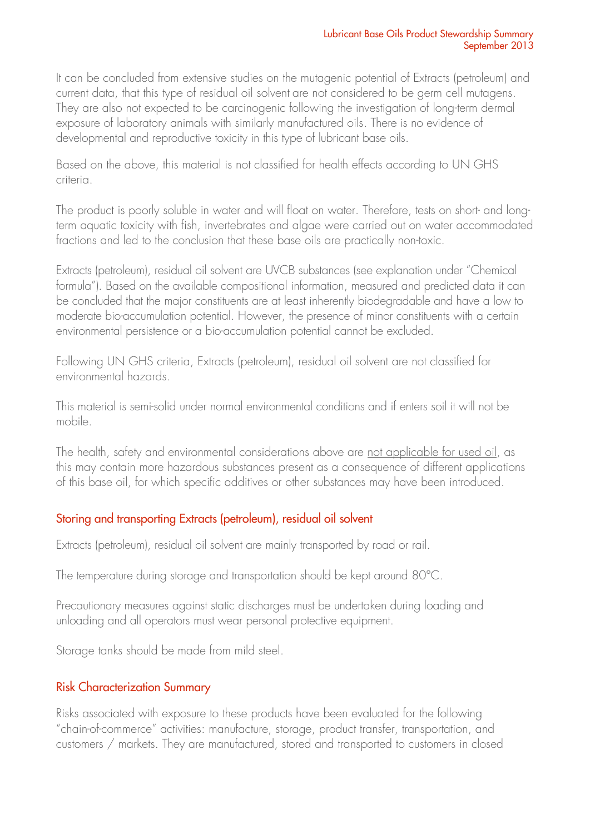It can be concluded from extensive studies on the mutagenic potential of Extracts (petroleum) and current data, that this type of residual oil solvent are not considered to be germ cell mutagens. They are also not expected to be carcinogenic following the investigation of long-term dermal exposure of laboratory animals with similarly manufactured oils. There is no evidence of developmental and reproductive toxicity in this type of lubricant base oils.

Based on the above, this material is not classified for health effects according to UN GHS criteria.

The product is poorly soluble in water and will float on water. Therefore, tests on short- and longterm aquatic toxicity with fish, invertebrates and algae were carried out on water accommodated fractions and led to the conclusion that these base oils are practically non-toxic.

Extracts (petroleum), residual oil solvent are UVCB substances (see explanation under "Chemical formula"). Based on the available compositional information, measured and predicted data it can be concluded that the major constituents are at least inherently biodegradable and have a low to moderate bio-accumulation potential. However, the presence of minor constituents with a certain environmental persistence or a bio-accumulation potential cannot be excluded.

Following UN GHS criteria, Extracts (petroleum), residual oil solvent are not classified for environmental hazards.

This material is semi-solid under normal environmental conditions and if enters soil it will not be mobile.

The health, safety and environmental considerations above are not applicable for used oil, as this may contain more hazardous substances present as a consequence of different applications of this base oil, for which specific additives or other substances may have been introduced.

# Storing and transporting Extracts (petroleum), residual oil solvent

Extracts (petroleum), residual oil solvent are mainly transported by road or rail.

The temperature during storage and transportation should be kept around 80°C.

Precautionary measures against static discharges must be undertaken during loading and unloading and all operators must wear personal protective equipment.

Storage tanks should be made from mild steel.

# Risk Characterization Summary

Risks associated with exposure to these products have been evaluated for the following "chain-of-commerce" activities: manufacture, storage, product transfer, transportation, and customers / markets. They are manufactured, stored and transported to customers in closed